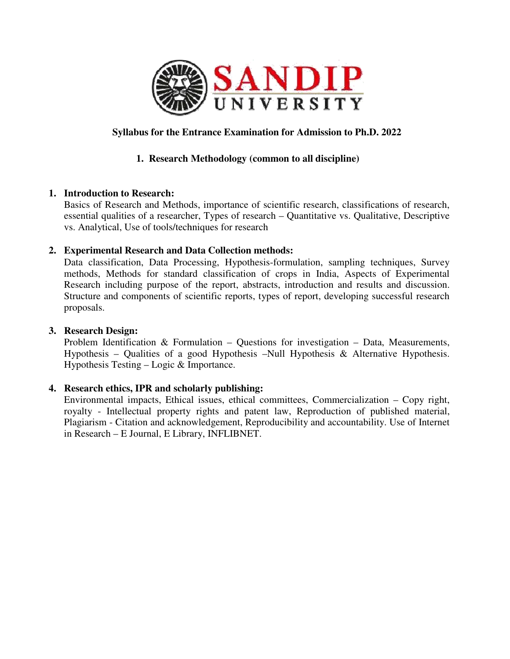

# **Syllabus for the Entrance Examination for Admission to Ph.D. 2022**

# **1. Research Methodology (common to all discipline)**

## **1. Introduction to Research:**

Basics of Research and Methods, importance of scientific research, classifications of research, essential qualities of a researcher, Types of research – Quantitative vs. Qualitative, Descriptive vs. Analytical, Use of tools/techniques for research essential qualities of a researcher, Types of research – Quantitative vs. Qualitative, Descriptive<br>
vs. Analytical, Use of tools/techniques for research<br>
Experimental Research and Data Collection methods:<br>
Data classificat

## **2. Experimental Research and Data Data Collection methods:**

methods, Methods for standard classification of crops in India, Aspects of Experimental Research including purpose of the report, abstracts, introduction and results and discussion. Structure and components of scientific reports, types of report, developing successful research proposals. purpose of the report, abstracts, introduction and results and discussion.<br>
Denotes of scientific reports, types of report, developing successful research<br>
on & Formulation – Questions for investigation – Data, Measurement

## **3. Research Design:**

Problem Identification  $\&$  Formulation – Questions for investigation – Data, Measurements, Hypothesis – Qualities of a good Hypothesis –Null Hypothesis & Alternative Hypothesis. Hypothesis Testing – Logic & Importance.

# **4. Research ethics, IPR and scholarly scholarly publishing:**

Environmental impacts, Ethical issues, ethical committees, Commercialization – Copy right, royalty - Intellectual property rights and patent law, Reproduction of published material, Plagiarism - Citation and acknowledgement, Reproducibility and accountability. Use of Internet<br>in Research – E Journal, E Library, INFLIBNET. in Research – E Journal, E Library,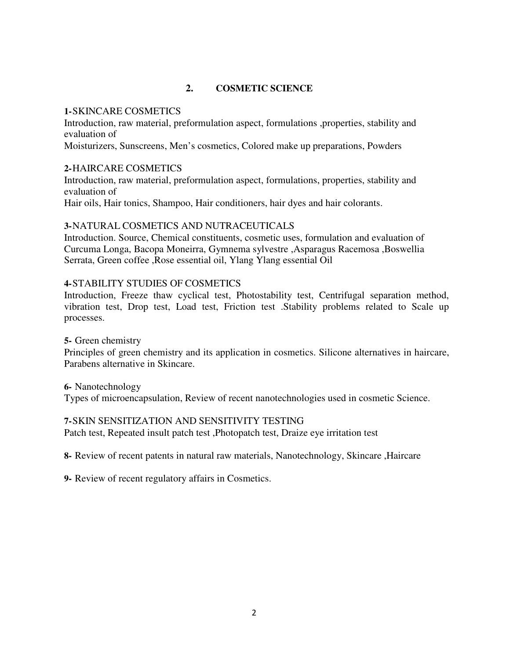# **2. COSMETIC SCIENCE**

## **1-**SKINCARE COSMETICS

Introduction, raw material, preformulation aspect, formulations ,properties, stability and evaluation of

Moisturizers, Sunscreens, Men's cosmetics, Colored make up preparations, Powders

## **2-**HAIRCARE COSMETICS

Introduction, raw material, preformulation aspect, formulations, properties, stability and evaluation of

# Hair oils, Hair tonics, Shampoo, Hair conditioners, hair dyes and hair colorants.

# **3-**NATURAL COSMETICS AND NUTRACEUTICALS

Introduction. Source, Chemical constituents, cosmetic uses, formulation and evaluation of Curcuma Longa, Bacopa Moneirra, Gymnema sylvestre ,Asparagus Racemosa ,Boswellia Serrata, Green coffee ,Rose essential oil, Ylang Ylang essential Oil

# **4-**STABILITY STUDIES OF COSMETICS

Introduction, Freeze thaw cyclical test, Photostability test, Centrifugal separation method, vibration test, Drop test, Load test, Friction test .Stability problems related to Scale up processes.

## **5-** Green chemistry

Principles of green chemistry and its application in cosmetics. Silicone alternatives in haircare, Parabens alternative in Skincare.

**6-** Nanotechnology Types of microencapsulation, Review of recent nanotechnologies used in cosmetic Science.

## **7-**SKIN SENSITIZATION AND SENSITIVITY TESTING

Patch test, Repeated insult patch test ,Photopatch test, Draize eye irritation test

**8-** Review of recent patents in natural raw materials, Nanotechnology, Skincare ,Haircare

**9-** Review of recent regulatory affairs in Cosmetics.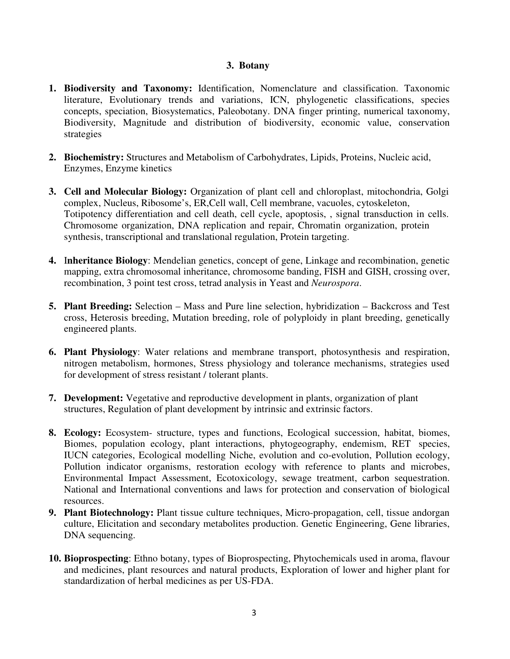#### **3. Botany**

- **1. Biodiversity and Taxonomy:** Identification, Nomenclature and classification. Taxonomic literature, Evolutionary trends and variations, ICN, phylogenetic classifications, species concepts, speciation, Biosystematics, Paleobotany. DNA finger printing, numerical taxonomy, Biodiversity, Magnitude and distribution of biodiversity, economic value, conservation strategies
- **2. Biochemistry:** Structures and Metabolism of Carbohydrates, Lipids, Proteins, Nucleic acid, Enzymes, Enzyme kinetics
- **3. Cell and Molecular Biology:** Organization of plant cell and chloroplast, mitochondria, Golgi complex, Nucleus, Ribosome's, ER,Cell wall, Cell membrane, vacuoles, cytoskeleton, Totipotency differentiation and cell death, cell cycle, apoptosis, , signal transduction in cells. Chromosome organization, DNA replication and repair, Chromatin organization, protein synthesis, transcriptional and translational regulation, Protein targeting.
- **4.** I**nheritance Biology**: Mendelian genetics, concept of gene, Linkage and recombination, genetic mapping, extra chromosomal inheritance, chromosome banding, FISH and GISH, crossing over, recombination, 3 point test cross, tetrad analysis in Yeast and *Neurospora*.
- **5. Plant Breeding:** Selection Mass and Pure line selection, hybridization Backcross and Test cross, Heterosis breeding, Mutation breeding, role of polyploidy in plant breeding, genetically engineered plants.
- **6. Plant Physiology**: Water relations and membrane transport, photosynthesis and respiration, nitrogen metabolism, hormones, Stress physiology and tolerance mechanisms, strategies used for development of stress resistant / tolerant plants.
- **7. Development:** Vegetative and reproductive development in plants, organization of plant structures, Regulation of plant development by intrinsic and extrinsic factors.
- **8. Ecology:** Ecosystem- structure, types and functions, Ecological succession, habitat, biomes, Biomes, population ecology, plant interactions, phytogeography, endemism, RET species, IUCN categories, Ecological modelling Niche, evolution and co-evolution, Pollution ecology, Pollution indicator organisms, restoration ecology with reference to plants and microbes, Environmental Impact Assessment, Ecotoxicology, sewage treatment, carbon sequestration. National and International conventions and laws for protection and conservation of biological resources.
- **9. Plant Biotechnology:** Plant tissue culture techniques, Micro-propagation, cell, tissue andorgan culture, Elicitation and secondary metabolites production. Genetic Engineering, Gene libraries, DNA sequencing.
- **10. Bioprospecting**: Ethno botany, types of Bioprospecting, Phytochemicals used in aroma, flavour and medicines, plant resources and natural products, Exploration of lower and higher plant for standardization of herbal medicines as per US-FDA.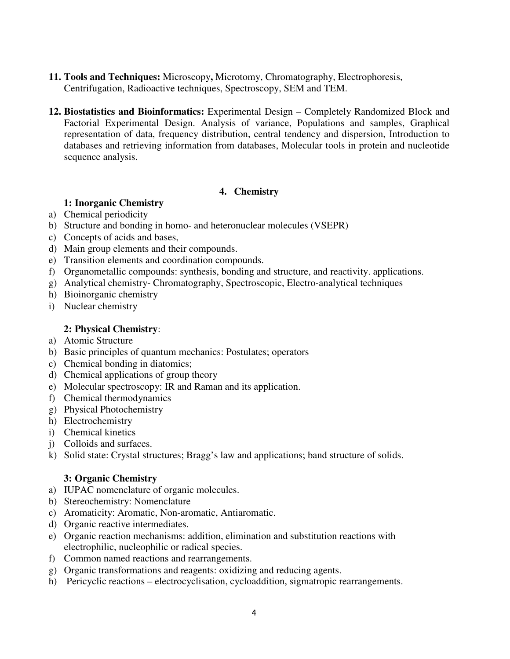- **11. Tools and Techniques:** Microscopy**,** Microtomy, Chromatography, Electrophoresis, Centrifugation, Radioactive techniques, Spectroscopy, SEM and TEM.
- **12. Biostatistics and Bioinformatics:** Experimental Design Completely Randomized Block and Factorial Experimental Design. Analysis of variance, Populations and samples, Graphical representation of data, frequency distribution, central tendency and dispersion, Introduction to databases and retrieving information from databases, Molecular tools in protein and nucleotide sequence analysis.

## **4. Chemistry**

# **1: Inorganic Chemistry**

- a) Chemical periodicity
- b) Structure and bonding in homo- and heteronuclear molecules (VSEPR)
- c) Concepts of acids and bases,
- d) Main group elements and their compounds.
- e) Transition elements and coordination compounds.
- f) Organometallic compounds: synthesis, bonding and structure, and reactivity. applications.
- g) Analytical chemistry- Chromatography, Spectroscopic, Electro-analytical techniques
- h) Bioinorganic chemistry
- i) Nuclear chemistry

## **2: Physical Chemistry**:

- a) Atomic Structure
- b) Basic principles of quantum mechanics: Postulates; operators
- c) Chemical bonding in diatomics;
- d) Chemical applications of group theory
- e) Molecular spectroscopy: IR and Raman and its application.
- f) Chemical thermodynamics
- g) Physical Photochemistry
- h) Electrochemistry
- i) Chemical kinetics
- j) Colloids and surfaces.
- k) Solid state: Crystal structures; Bragg's law and applications; band structure of solids.

# **3: Organic Chemistry**

- a) IUPAC nomenclature of organic molecules.
- b) Stereochemistry: Nomenclature
- c) Aromaticity: Aromatic, Non-aromatic, Antiaromatic.
- d) Organic reactive intermediates.
- e) Organic reaction mechanisms: addition, elimination and substitution reactions with electrophilic, nucleophilic or radical species.
- f) Common named reactions and rearrangements.
- g) Organic transformations and reagents: oxidizing and reducing agents.
- h) Pericyclic reactions electrocyclisation, cycloaddition, sigmatropic rearrangements.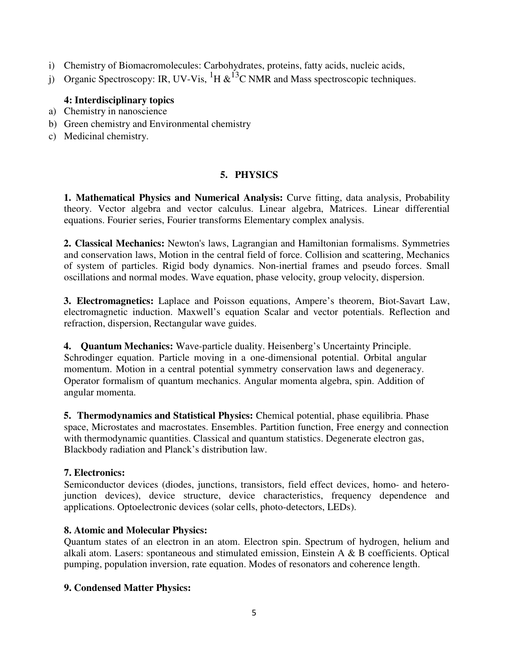- i) Chemistry of Biomacromolecules: Carbohydrates, proteins, fatty acids, nucleic acids,
- j) Organic Spectroscopy: IR, UV-Vis,  ${}^{1}H \& {}^{13}C$  NMR and Mass spectroscopic techniques.

# **4: Interdisciplinary topics**

- a) Chemistry in nanoscience
- b) Green chemistry and Environmental chemistry
- c) Medicinal chemistry.

# **5. PHYSICS**

**1. Mathematical Physics and Numerical Analysis:** Curve fitting, data analysis, Probability theory. Vector algebra and vector calculus. Linear algebra, Matrices. Linear differential equations. Fourier series, Fourier transforms Elementary complex analysis.

**2. Classical Mechanics:** Newton's laws, Lagrangian and Hamiltonian formalisms. Symmetries and conservation laws, Motion in the central field of force. Collision and scattering, Mechanics of system of particles. Rigid body dynamics. Non-inertial frames and pseudo forces. Small oscillations and normal modes. Wave equation, phase velocity, group velocity, dispersion.

**3. Electromagnetics:** Laplace and Poisson equations, Ampere's theorem, Biot-Savart Law, electromagnetic induction. Maxwell's equation Scalar and vector potentials. Reflection and refraction, dispersion, Rectangular wave guides.

**4. Quantum Mechanics:** Wave-particle duality. Heisenberg's Uncertainty Principle. Schrodinger equation. Particle moving in a one-dimensional potential. Orbital angular momentum. Motion in a central potential symmetry conservation laws and degeneracy. Operator formalism of quantum mechanics. Angular momenta algebra, spin. Addition of angular momenta.

**5. Thermodynamics and Statistical Physics:** Chemical potential, phase equilibria. Phase space, Microstates and macrostates. Ensembles. Partition function, Free energy and connection with thermodynamic quantities. Classical and quantum statistics. Degenerate electron gas, Blackbody radiation and Planck's distribution law.

# **7. Electronics:**

Semiconductor devices (diodes, junctions, transistors, field effect devices, homo- and heterojunction devices), device structure, device characteristics, frequency dependence and applications. Optoelectronic devices (solar cells, photo-detectors, LEDs).

# **8. Atomic and Molecular Physics:**

Quantum states of an electron in an atom. Electron spin. Spectrum of hydrogen, helium and alkali atom. Lasers: spontaneous and stimulated emission, Einstein A & B coefficients. Optical pumping, population inversion, rate equation. Modes of resonators and coherence length.

# **9. Condensed Matter Physics:**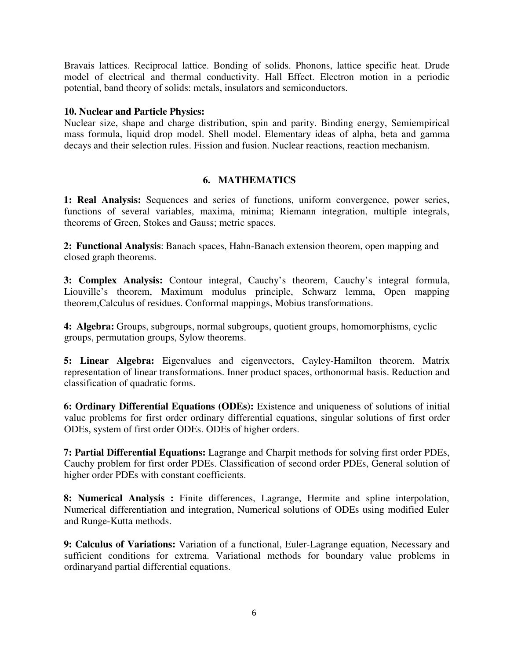Bravais lattices. Reciprocal lattice. Bonding of solids. Phonons, lattice specific heat. Drude model of electrical and thermal conductivity. Hall Effect. Electron motion in a periodic potential, band theory of solids: metals, insulators and semiconductors.

## **10. Nuclear and Particle Physics:**

Nuclear size, shape and charge distribution, spin and parity. Binding energy, Semiempirical mass formula, liquid drop model. Shell model. Elementary ideas of alpha, beta and gamma decays and their selection rules. Fission and fusion. Nuclear reactions, reaction mechanism.

## **6. MATHEMATICS**

**1: Real Analysis:** Sequences and series of functions, uniform convergence, power series, functions of several variables, maxima, minima; Riemann integration, multiple integrals, theorems of Green, Stokes and Gauss; metric spaces.

**2: Functional Analysis**: Banach spaces, Hahn-Banach extension theorem, open mapping and closed graph theorems.

**3: Complex Analysis:** Contour integral, Cauchy's theorem, Cauchy's integral formula, Liouville's theorem, Maximum modulus principle, Schwarz lemma, Open mapping theorem,Calculus of residues. Conformal mappings, Mobius transformations.

**4: Algebra:** Groups, subgroups, normal subgroups, quotient groups, homomorphisms, cyclic groups, permutation groups, Sylow theorems.

**5: Linear Algebra:** Eigenvalues and eigenvectors, Cayley-Hamilton theorem. Matrix representation of linear transformations. Inner product spaces, orthonormal basis. Reduction and classification of quadratic forms.

**6: Ordinary Differential Equations (ODEs):** Existence and uniqueness of solutions of initial value problems for first order ordinary differential equations, singular solutions of first order ODEs, system of first order ODEs. ODEs of higher orders.

**7: Partial Differential Equations:** Lagrange and Charpit methods for solving first order PDEs, Cauchy problem for first order PDEs. Classification of second order PDEs, General solution of higher order PDEs with constant coefficients.

**8: Numerical Analysis :** Finite differences, Lagrange, Hermite and spline interpolation, Numerical differentiation and integration, Numerical solutions of ODEs using modified Euler and Runge-Kutta methods.

**9: Calculus of Variations:** Variation of a functional, Euler-Lagrange equation, Necessary and sufficient conditions for extrema. Variational methods for boundary value problems in ordinaryand partial differential equations.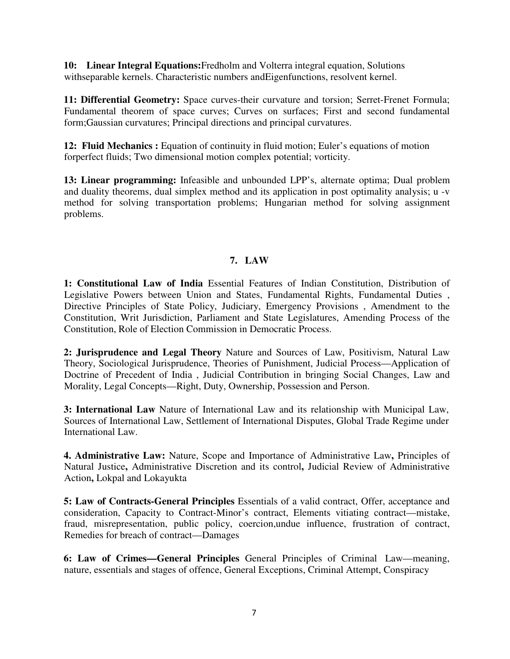**10: Linear Integral Equations:**Fredholm and Volterra integral equation, Solutions withseparable kernels. Characteristic numbers andEigenfunctions, resolvent kernel.

**11: Differential Geometry:** Space curves-their curvature and torsion; Serret-Frenet Formula; Fundamental theorem of space curves; Curves on surfaces; First and second fundamental form;Gaussian curvatures; Principal directions and principal curvatures.

**12: Fluid Mechanics :** Equation of continuity in fluid motion; Euler's equations of motion forperfect fluids; Two dimensional motion complex potential; vorticity.

**13: Linear programming:** Infeasible and unbounded LPP's, alternate optima; Dual problem and duality theorems, dual simplex method and its application in post optimality analysis; u -v method for solving transportation problems; Hungarian method for solving assignment problems.

# **7. LAW**

**1: Constitutional Law of India** Essential Features of Indian Constitution, Distribution of Legislative Powers between Union and States, Fundamental Rights, Fundamental Duties , Directive Principles of State Policy, Judiciary, Emergency Provisions , Amendment to the Constitution, Writ Jurisdiction, Parliament and State Legislatures, Amending Process of the Constitution, Role of Election Commission in Democratic Process.

**2: Jurisprudence and Legal Theory** Nature and Sources of Law, Positivism, Natural Law Theory, Sociological Jurisprudence, Theories of Punishment, Judicial Process—Application of Doctrine of Precedent of India , Judicial Contribution in bringing Social Changes, Law and Morality, Legal Concepts—Right, Duty, Ownership, Possession and Person.

**3: International Law** Nature of International Law and its relationship with Municipal Law, Sources of International Law, Settlement of International Disputes, Global Trade Regime under International Law.

**4. Administrative Law:** Nature, Scope and Importance of Administrative Law**,** Principles of Natural Justice**,** Administrative Discretion and its control**,** Judicial Review of Administrative Action**,** Lokpal and Lokayukta

**5: Law of Contracts-General Principles** Essentials of a valid contract, Offer, acceptance and consideration, Capacity to Contract-Minor's contract, Elements vitiating contract—mistake, fraud, misrepresentation, public policy, coercion,undue influence, frustration of contract, Remedies for breach of contract—Damages

**6: Law of Crimes—General Principles** General Principles of Criminal Law—meaning, nature, essentials and stages of offence, General Exceptions, Criminal Attempt, Conspiracy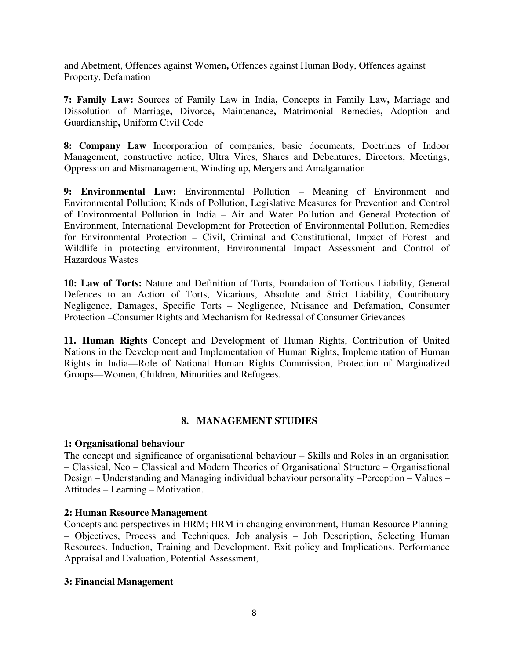and Abetment, Offences against Women**,** Offences against Human Body, Offences against Property, Defamation

**7: Family Law:** Sources of Family Law in India**,** Concepts in Family Law**,** Marriage and Dissolution of Marriage**,** Divorce**,** Maintenance**,** Matrimonial Remedies**,** Adoption and Guardianship**,** Uniform Civil Code

**8: Company Law** Incorporation of companies, basic documents, Doctrines of Indoor Management, constructive notice, Ultra Vires, Shares and Debentures, Directors, Meetings, Oppression and Mismanagement, Winding up, Mergers and Amalgamation

**9: Environmental Law:** Environmental Pollution – Meaning of Environment and Environmental Pollution; Kinds of Pollution, Legislative Measures for Prevention and Control of Environmental Pollution in India – Air and Water Pollution and General Protection of Environment, International Development for Protection of Environmental Pollution, Remedies for Environmental Protection – Civil, Criminal and Constitutional, Impact of Forest and Wildlife in protecting environment, Environmental Impact Assessment and Control of Hazardous Wastes

**10: Law of Torts:** Nature and Definition of Torts, Foundation of Tortious Liability, General Defences to an Action of Torts, Vicarious, Absolute and Strict Liability, Contributory Negligence, Damages, Specific Torts – Negligence, Nuisance and Defamation, Consumer Protection –Consumer Rights and Mechanism for Redressal of Consumer Grievances

**11. Human Rights** Concept and Development of Human Rights, Contribution of United Nations in the Development and Implementation of Human Rights, Implementation of Human Rights in India—Role of National Human Rights Commission, Protection of Marginalized Groups—Women, Children, Minorities and Refugees.

## **8. MANAGEMENT STUDIES**

## **1: Organisational behaviour**

The concept and significance of organisational behaviour – Skills and Roles in an organisation – Classical, Neo – Classical and Modern Theories of Organisational Structure – Organisational Design – Understanding and Managing individual behaviour personality –Perception – Values – Attitudes – Learning – Motivation.

## **2: Human Resource Management**

Concepts and perspectives in HRM; HRM in changing environment, Human Resource Planning – Objectives, Process and Techniques, Job analysis – Job Description, Selecting Human Resources. Induction, Training and Development. Exit policy and Implications. Performance Appraisal and Evaluation, Potential Assessment,

#### **3: Financial Management**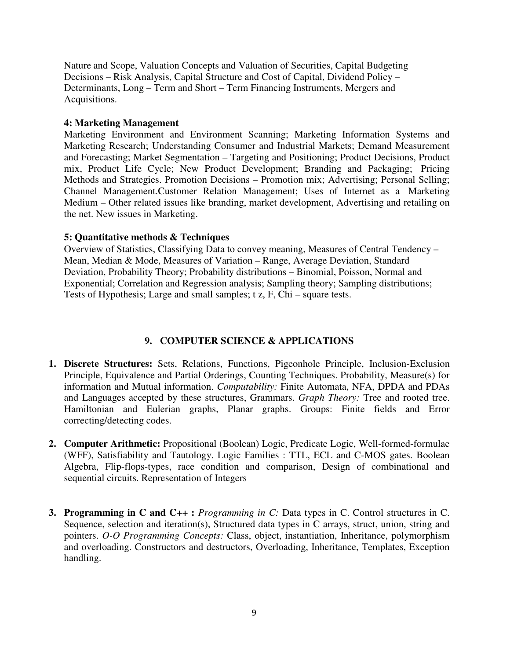Nature and Scope, Valuation Concepts and Valuation of Securities, Capital Budgeting Decisions – Risk Analysis, Capital Structure and Cost of Capital, Dividend Policy – Determinants, Long – Term and Short – Term Financing Instruments, Mergers and Acquisitions.

## **4: Marketing Management**

Marketing Environment and Environment Scanning; Marketing Information Systems and Marketing Research; Understanding Consumer and Industrial Markets; Demand Measurement and Forecasting; Market Segmentation – Targeting and Positioning; Product Decisions, Product mix, Product Life Cycle; New Product Development; Branding and Packaging; Pricing Methods and Strategies. Promotion Decisions – Promotion mix; Advertising; Personal Selling; Channel Management.Customer Relation Management; Uses of Internet as a Marketing Medium – Other related issues like branding, market development, Advertising and retailing on the net. New issues in Marketing.

## **5: Quantitative methods & Techniques**

Overview of Statistics, Classifying Data to convey meaning, Measures of Central Tendency – Mean, Median & Mode, Measures of Variation – Range, Average Deviation, Standard Deviation, Probability Theory; Probability distributions – Binomial, Poisson, Normal and Exponential; Correlation and Regression analysis; Sampling theory; Sampling distributions; Tests of Hypothesis; Large and small samples; t z, F, Chi – square tests.

# **9. COMPUTER SCIENCE & APPLICATIONS**

- **1. Discrete Structures:** Sets, Relations, Functions, Pigeonhole Principle, Inclusion-Exclusion Principle, Equivalence and Partial Orderings, Counting Techniques. Probability, Measure(s) for information and Mutual information. *Computability:* Finite Automata, NFA, DPDA and PDAs and Languages accepted by these structures, Grammars. *Graph Theory:* Tree and rooted tree. Hamiltonian and Eulerian graphs, Planar graphs. Groups: Finite fields and Error correcting/detecting codes.
- **2. Computer Arithmetic:** Propositional (Boolean) Logic, Predicate Logic, Well-formed-formulae (WFF), Satisfiability and Tautology. Logic Families : TTL, ECL and C-MOS gates. Boolean Algebra, Flip-flops-types, race condition and comparison, Design of combinational and sequential circuits. Representation of Integers
- **3. Programming in C and C++ :** *Programming in C:* Data types in C. Control structures in C. Sequence, selection and iteration(s), Structured data types in C arrays, struct, union, string and pointers. *O-O Programming Concepts:* Class, object, instantiation, Inheritance, polymorphism and overloading. Constructors and destructors, Overloading, Inheritance, Templates, Exception handling.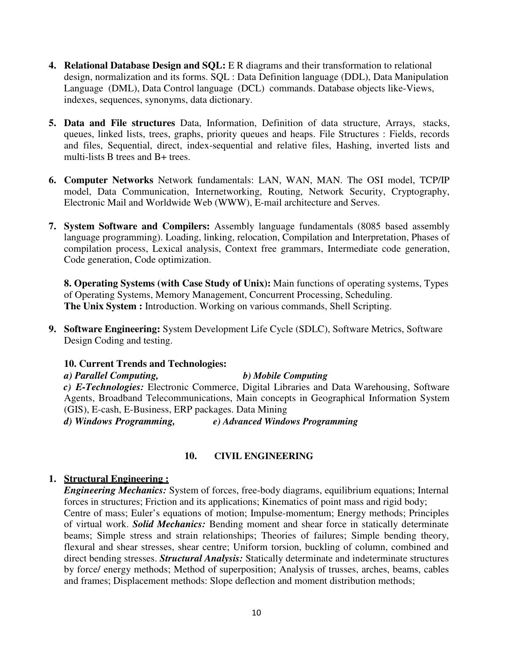- **4. Relational Database Design and SQL:** E R diagrams and their transformation to relational design, normalization and its forms. SQL : Data Definition language (DDL), Data Manipulation Language (DML), Data Control language (DCL) commands. Database objects like-Views, indexes, sequences, synonyms, data dictionary.
- **5. Data and File structures** Data, Information, Definition of data structure, Arrays, stacks, queues, linked lists, trees, graphs, priority queues and heaps. File Structures : Fields, records and files, Sequential, direct, index-sequential and relative files, Hashing, inverted lists and multi-lists B trees and B+ trees.
- **6. Computer Networks** Network fundamentals: LAN, WAN, MAN. The OSI model, TCP/IP model, Data Communication, Internetworking, Routing, Network Security, Cryptography, Electronic Mail and Worldwide Web (WWW), E-mail architecture and Serves.
- **7. System Software and Compilers:** Assembly language fundamentals (8085 based assembly language programming). Loading, linking, relocation, Compilation and Interpretation, Phases of compilation process, Lexical analysis, Context free grammars, Intermediate code generation, Code generation, Code optimization.

**8. Operating Systems (with Case Study of Unix):** Main functions of operating systems, Types of Operating Systems, Memory Management, Concurrent Processing, Scheduling. **The Unix System :** Introduction. Working on various commands, Shell Scripting.

**9. Software Engineering:** System Development Life Cycle (SDLC), Software Metrics, Software Design Coding and testing.

## **10. Current Trends and Technologies:**

# *a) Parallel Computing, b) Mobile Computing*

*c) E-Technologies:* Electronic Commerce, Digital Libraries and Data Warehousing, Software Agents, Broadband Telecommunications, Main concepts in Geographical Information System (GIS), E-cash, E-Business, ERP packages. Data Mining

*d) Windows Programming, e) Advanced Windows Programming* 

# **10. CIVIL ENGINEERING**

## **1. Structural Engineering :**

*Engineering Mechanics:* System of forces, free-body diagrams, equilibrium equations; Internal forces in structures; Friction and its applications; Kinematics of point mass and rigid body; Centre of mass; Euler's equations of motion; Impulse-momentum; Energy methods; Principles of virtual work. *Solid Mechanics:* Bending moment and shear force in statically determinate beams; Simple stress and strain relationships; Theories of failures; Simple bending theory, flexural and shear stresses, shear centre; Uniform torsion, buckling of column, combined and direct bending stresses. *Structural Analysis:* Statically determinate and indeterminate structures by force/ energy methods; Method of superposition; Analysis of trusses, arches, beams, cables and frames; Displacement methods: Slope deflection and moment distribution methods;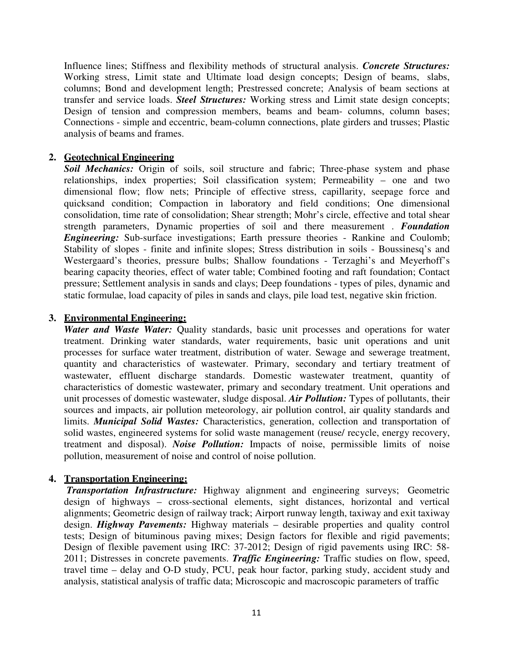Influence lines; Stiffness and flexibility methods of structural analysis. *Concrete Structures:*  Working stress, Limit state and Ultimate load design concepts; Design of beams, slabs, columns; Bond and development length; Prestressed concrete; Analysis of beam sections at transfer and service loads. *Steel Structures:* Working stress and Limit state design concepts; Design of tension and compression members, beams and beam- columns, column bases; Connections - simple and eccentric, beam-column connections, plate girders and trusses; Plastic analysis of beams and frames.

#### **2. Geotechnical Engineering**

*Soil Mechanics:* Origin of soils, soil structure and fabric; Three-phase system and phase relationships, index properties; Soil classification system; Permeability – one and two dimensional flow; flow nets; Principle of effective stress, capillarity, seepage force and quicksand condition; Compaction in laboratory and field conditions; One dimensional consolidation, time rate of consolidation; Shear strength; Mohr's circle, effective and total shear strength parameters, Dynamic properties of soil and there measurement . *Foundation Engineering:* Sub-surface investigations; Earth pressure theories - Rankine and Coulomb; Stability of slopes - finite and infinite slopes; Stress distribution in soils - Boussinesq's and Westergaard's theories, pressure bulbs; Shallow foundations - Terzaghi's and Meyerhoff's bearing capacity theories, effect of water table; Combined footing and raft foundation; Contact pressure; Settlement analysis in sands and clays; Deep foundations - types of piles, dynamic and static formulae, load capacity of piles in sands and clays, pile load test, negative skin friction.

#### **3. Environmental Engineering:**

*Water and Waste Water:* Quality standards, basic unit processes and operations for water treatment. Drinking water standards, water requirements, basic unit operations and unit processes for surface water treatment, distribution of water. Sewage and sewerage treatment, quantity and characteristics of wastewater. Primary, secondary and tertiary treatment of wastewater, effluent discharge standards. Domestic wastewater treatment, quantity of characteristics of domestic wastewater, primary and secondary treatment. Unit operations and unit processes of domestic wastewater, sludge disposal. *Air Pollution:* Types of pollutants, their sources and impacts, air pollution meteorology, air pollution control, air quality standards and limits. *Municipal Solid Wastes:* Characteristics, generation, collection and transportation of solid wastes, engineered systems for solid waste management (reuse/ recycle, energy recovery, treatment and disposal). *Noise Pollution:* Impacts of noise, permissible limits of noise pollution, measurement of noise and control of noise pollution.

## **4. Transportation Engineering:**

*Transportation Infrastructure:* Highway alignment and engineering surveys; Geometric design of highways – cross-sectional elements, sight distances, horizontal and vertical alignments; Geometric design of railway track; Airport runway length, taxiway and exit taxiway design. *Highway Pavements:* Highway materials – desirable properties and quality control tests; Design of bituminous paving mixes; Design factors for flexible and rigid pavements; Design of flexible pavement using IRC: 37-2012; Design of rigid pavements using IRC: 58- 2011; Distresses in concrete pavements. *Traffic Engineering:* Traffic studies on flow, speed, travel time – delay and O-D study, PCU, peak hour factor, parking study, accident study and analysis, statistical analysis of traffic data; Microscopic and macroscopic parameters of traffic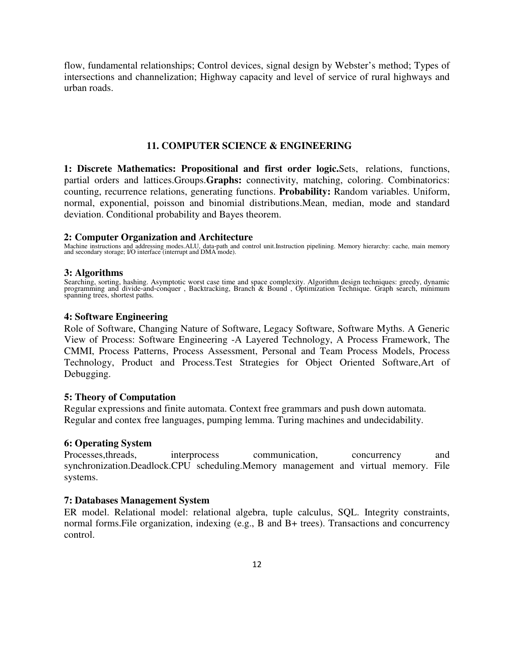flow, fundamental relationships; Control devices, signal design by Webster's method; Types of intersections and channelization; Highway capacity and level of service of rural highways and urban roads.

#### **11. COMPUTER SCIENCE & ENGINEERING**

**1: Discrete Mathematics: Propositional and first order logic.**Sets, relations, functions, partial orders and lattices.Groups.**Graphs:** connectivity, matching, coloring. Combinatorics: counting, recurrence relations, generating functions. **Probability:** Random variables. Uniform, normal, exponential, poisson and binomial distributions.Mean, median, mode and standard deviation. Conditional probability and Bayes theorem.

#### **2: Computer Organization and Architecture**

Machine instructions and addressing modes.ALU, data-path and control unit.Instruction pipelining. Memory hierarchy: cache, main memory and secondary storage; I/O interface (interrupt and DMA mode).

#### **3: Algorithms**

Searching, sorting, hashing. Asymptotic worst case time and space complexity. Algorithm design techniques: greedy, dynamic<br>programming and divide-and-conquer, Backtracking, Branch & Bound, Optimization Technique. Graph sea spanning trees, shortest paths.

#### **4: Software Engineering**

Role of Software, Changing Nature of Software, Legacy Software, Software Myths. A Generic View of Process: Software Engineering -A Layered Technology, A Process Framework, The CMMI, Process Patterns, Process Assessment, Personal and Team Process Models, Process Technology, Product and Process.Test Strategies for Object Oriented Software,Art of Debugging.

#### **5: Theory of Computation**

Regular expressions and finite automata. Context free grammars and push down automata. Regular and contex free languages, pumping lemma. Turing machines and undecidability.

#### **6: Operating System**

Processes, threads, interprocess communication, concurrency and synchronization.Deadlock.CPU scheduling.Memory management and virtual memory. File systems.

#### **7: Databases Management System**

ER model. Relational model: relational algebra, tuple calculus, SQL. Integrity constraints, normal forms.File organization, indexing (e.g., B and B+ trees). Transactions and concurrency control.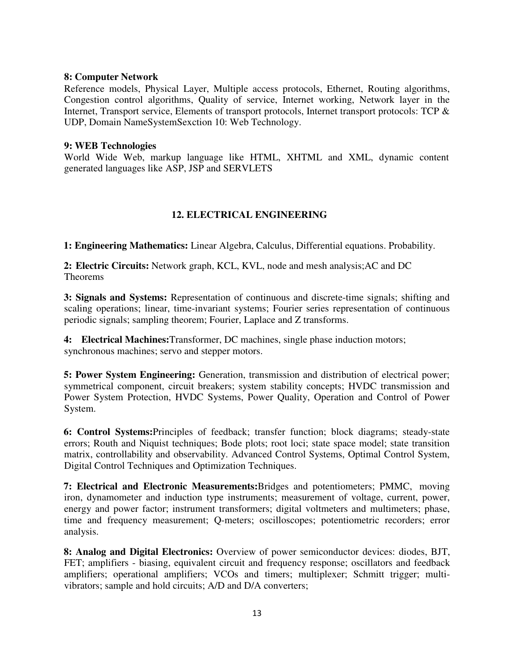#### **8: Computer Network**

Reference models, Physical Layer, Multiple access protocols, Ethernet, Routing algorithms, Congestion control algorithms, Quality of service, Internet working, Network layer in the Internet, Transport service, Elements of transport protocols, Internet transport protocols: TCP & UDP, Domain NameSystemSexction 10: Web Technology.

#### **9: WEB Technologies**

World Wide Web, markup language like HTML, XHTML and XML, dynamic content generated languages like ASP, JSP and SERVLETS

# **12. ELECTRICAL ENGINEERING**

**1: Engineering Mathematics:** Linear Algebra, Calculus, Differential equations. Probability.

**2: Electric Circuits:** Network graph, KCL, KVL, node and mesh analysis;AC and DC Theorems

**3: Signals and Systems:** Representation of continuous and discrete-time signals; shifting and scaling operations; linear, time-invariant systems; Fourier series representation of continuous periodic signals; sampling theorem; Fourier, Laplace and Z transforms.

**4: Electrical Machines:**Transformer, DC machines, single phase induction motors; synchronous machines; servo and stepper motors.

**5: Power System Engineering:** Generation, transmission and distribution of electrical power; symmetrical component, circuit breakers; system stability concepts; HVDC transmission and Power System Protection, HVDC Systems, Power Quality, Operation and Control of Power System.

**6: Control Systems:**Principles of feedback; transfer function; block diagrams; steady-state errors; Routh and Niquist techniques; Bode plots; root loci; state space model; state transition matrix, controllability and observability. Advanced Control Systems, Optimal Control System, Digital Control Techniques and Optimization Techniques.

**7: Electrical and Electronic Measurements:**Bridges and potentiometers; PMMC, moving iron, dynamometer and induction type instruments; measurement of voltage, current, power, energy and power factor; instrument transformers; digital voltmeters and multimeters; phase, time and frequency measurement; Q-meters; oscilloscopes; potentiometric recorders; error analysis.

**8: Analog and Digital Electronics:** Overview of power semiconductor devices: diodes, BJT, FET; amplifiers - biasing, equivalent circuit and frequency response; oscillators and feedback amplifiers; operational amplifiers; VCOs and timers; multiplexer; Schmitt trigger; multivibrators; sample and hold circuits; A/D and D/A converters;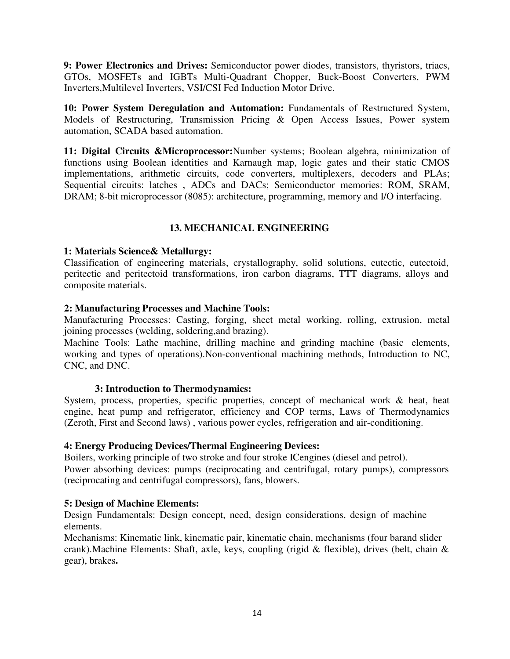**9: Power Electronics and Drives:** Semiconductor power diodes, transistors, thyristors, triacs, GTOs, MOSFETs and IGBTs Multi-Quadrant Chopper, Buck-Boost Converters, PWM Inverters,Multilevel Inverters, VSI/CSI Fed Induction Motor Drive.

**10: Power System Deregulation and Automation:** Fundamentals of Restructured System, Models of Restructuring, Transmission Pricing & Open Access Issues, Power system automation, SCADA based automation.

**11: Digital Circuits &Microprocessor:**Number systems; Boolean algebra, minimization of functions using Boolean identities and Karnaugh map, logic gates and their static CMOS implementations, arithmetic circuits, code converters, multiplexers, decoders and PLAs; Sequential circuits: latches , ADCs and DACs; Semiconductor memories: ROM, SRAM, DRAM; 8-bit microprocessor (8085): architecture, programming, memory and I/O interfacing.

# **13. MECHANICAL ENGINEERING**

## **1: Materials Science& Metallurgy:**

Classification of engineering materials, crystallography, solid solutions, eutectic, eutectoid, peritectic and peritectoid transformations, iron carbon diagrams, TTT diagrams, alloys and composite materials.

## **2: Manufacturing Processes and Machine Tools:**

Manufacturing Processes: Casting, forging, sheet metal working, rolling, extrusion, metal joining processes (welding, soldering,and brazing).

Machine Tools: Lathe machine, drilling machine and grinding machine (basic elements, working and types of operations).Non-conventional machining methods, Introduction to NC, CNC, and DNC.

## **3: Introduction to Thermodynamics:**

System, process, properties, specific properties, concept of mechanical work & heat, heat engine, heat pump and refrigerator, efficiency and COP terms, Laws of Thermodynamics (Zeroth, First and Second laws) , various power cycles, refrigeration and air-conditioning.

## **4: Energy Producing Devices/Thermal Engineering Devices:**

Boilers, working principle of two stroke and four stroke ICengines (diesel and petrol). Power absorbing devices: pumps (reciprocating and centrifugal, rotary pumps), compressors (reciprocating and centrifugal compressors), fans, blowers.

## **5: Design of Machine Elements:**

Design Fundamentals: Design concept, need, design considerations, design of machine elements.

Mechanisms: Kinematic link, kinematic pair, kinematic chain, mechanisms (four barand slider crank).Machine Elements: Shaft, axle, keys, coupling (rigid & flexible), drives (belt, chain & gear), brakes**.**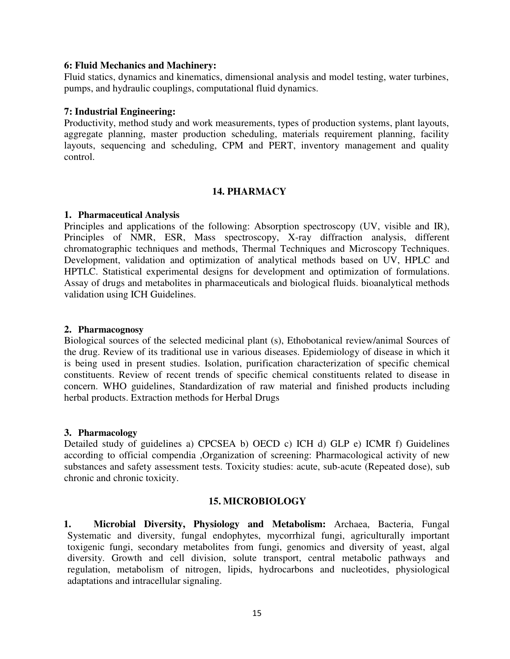#### **6: Fluid Mechanics and Machinery:**

Fluid statics, dynamics and kinematics, dimensional analysis and model testing, water turbines, pumps, and hydraulic couplings, computational fluid dynamics.

## **7: Industrial Engineering:**

Productivity, method study and work measurements, types of production systems, plant layouts, aggregate planning, master production scheduling, materials requirement planning, facility layouts, sequencing and scheduling, CPM and PERT, inventory management and quality control.

## **14. PHARMACY**

## **1. Pharmaceutical Analysis**

Principles and applications of the following: Absorption spectroscopy (UV, visible and IR), Principles of NMR, ESR, Mass spectroscopy, X-ray diffraction analysis, different chromatographic techniques and methods, Thermal Techniques and Microscopy Techniques. Development, validation and optimization of analytical methods based on UV, HPLC and HPTLC. Statistical experimental designs for development and optimization of formulations. Assay of drugs and metabolites in pharmaceuticals and biological fluids. bioanalytical methods validation using ICH Guidelines.

#### **2. Pharmacognosy**

Biological sources of the selected medicinal plant (s), Ethobotanical review/animal Sources of the drug. Review of its traditional use in various diseases. Epidemiology of disease in which it is being used in present studies. Isolation, purification characterization of specific chemical constituents. Review of recent trends of specific chemical constituents related to disease in concern. WHO guidelines, Standardization of raw material and finished products including herbal products. Extraction methods for Herbal Drugs

## **3. Pharmacology**

Detailed study of guidelines a) CPCSEA b) OECD c) ICH d) GLP e) ICMR f) Guidelines according to official compendia ,Organization of screening: Pharmacological activity of new substances and safety assessment tests. Toxicity studies: acute, sub-acute (Repeated dose), sub chronic and chronic toxicity.

## **15. MICROBIOLOGY**

**1. Microbial Diversity, Physiology and Metabolism:** Archaea, Bacteria, Fungal Systematic and diversity, fungal endophytes, mycorrhizal fungi, agriculturally important toxigenic fungi, secondary metabolites from fungi, genomics and diversity of yeast, algal diversity. Growth and cell division, solute transport, central metabolic pathways and regulation, metabolism of nitrogen, lipids, hydrocarbons and nucleotides, physiological adaptations and intracellular signaling.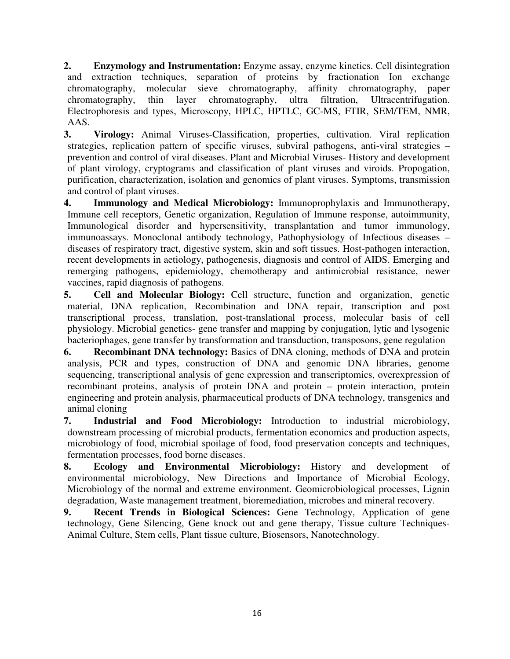**2. Enzymology and Instrumentation:** Enzyme assay, enzyme kinetics. Cell disintegration and extraction techniques, separation of proteins by fractionation Ion exchange chromatography, molecular sieve chromatography, affinity chromatography, paper chromatography, thin layer chromatography, ultra filtration, Ultracentrifugation. Electrophoresis and types, Microscopy, HPLC, HPTLC, GC-MS, FTIR, SEM/TEM, NMR, AAS.

**3. Virology:** Animal Viruses-Classification, properties, cultivation. Viral replication strategies, replication pattern of specific viruses, subviral pathogens, anti-viral strategies – prevention and control of viral diseases. Plant and Microbial Viruses- History and development of plant virology, cryptograms and classification of plant viruses and viroids. Propogation, purification, characterization, isolation and genomics of plant viruses. Symptoms, transmission and control of plant viruses.

**4. Immunology and Medical Microbiology:** Immunoprophylaxis and Immunotherapy, Immune cell receptors, Genetic organization, Regulation of Immune response, autoimmunity, Immunological disorder and hypersensitivity, transplantation and tumor immunology, immunoassays. Monoclonal antibody technology, Pathophysiology of Infectious diseases – diseases of respiratory tract, digestive system, skin and soft tissues. Host-pathogen interaction, recent developments in aetiology, pathogenesis, diagnosis and control of AIDS. Emerging and remerging pathogens, epidemiology, chemotherapy and antimicrobial resistance, newer vaccines, rapid diagnosis of pathogens.

**5. Cell and Molecular Biology:** Cell structure, function and organization, genetic material, DNA replication, Recombination and DNA repair, transcription and post transcriptional process, translation, post-translational process, molecular basis of cell physiology. Microbial genetics- gene transfer and mapping by conjugation, lytic and lysogenic bacteriophages, gene transfer by transformation and transduction, transposons, gene regulation

**6. Recombinant DNA technology:** Basics of DNA cloning, methods of DNA and protein analysis, PCR and types, construction of DNA and genomic DNA libraries, genome sequencing, transcriptional analysis of gene expression and transcriptomics, overexpression of recombinant proteins, analysis of protein DNA and protein – protein interaction, protein engineering and protein analysis, pharmaceutical products of DNA technology, transgenics and animal cloning

**7. Industrial and Food Microbiology:** Introduction to industrial microbiology, downstream processing of microbial products, fermentation economics and production aspects, microbiology of food, microbial spoilage of food, food preservation concepts and techniques, fermentation processes, food borne diseases.

**8. Ecology and Environmental Microbiology:** History and development of environmental microbiology, New Directions and Importance of Microbial Ecology, Microbiology of the normal and extreme environment. Geomicrobiological processes, Lignin degradation, Waste management treatment, bioremediation, microbes and mineral recovery.

**9. Recent Trends in Biological Sciences:** Gene Technology, Application of gene technology, Gene Silencing, Gene knock out and gene therapy, Tissue culture Techniques-Animal Culture, Stem cells, Plant tissue culture, Biosensors, Nanotechnology.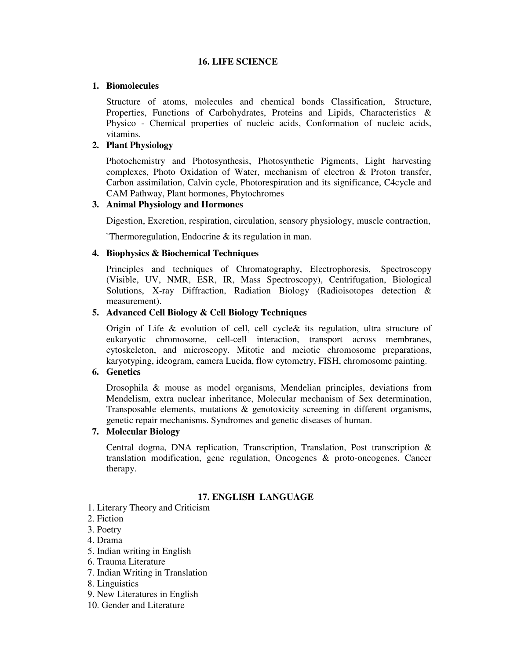#### **16. LIFE SCIENCE**

#### **1. Biomolecules**

Structure of atoms, molecules and chemical bonds Classification, Structure, Properties, Functions of Carbohydrates, Proteins and Lipids, Characteristics & Physico - Chemical properties of nucleic acids, Conformation of nucleic acids, vitamins.

#### **2. Plant Physiology**

Photochemistry and Photosynthesis, Photosynthetic Pigments, Light harvesting complexes, Photo Oxidation of Water, mechanism of electron & Proton transfer, Carbon assimilation, Calvin cycle, Photorespiration and its significance, C4cycle and CAM Pathway, Plant hormones, Phytochromes

#### **3. Animal Physiology and Hormones**

Digestion, Excretion, respiration, circulation, sensory physiology, muscle contraction,

`Thermoregulation, Endocrine & its regulation in man.

#### **4. Biophysics & Biochemical Techniques**

Principles and techniques of Chromatography, Electrophoresis, Spectroscopy (Visible, UV, NMR, ESR, IR, Mass Spectroscopy), Centrifugation, Biological Solutions, X-ray Diffraction, Radiation Biology (Radioisotopes detection & measurement).

#### **5. Advanced Cell Biology & Cell Biology Techniques**

Origin of Life & evolution of cell, cell cycle& its regulation, ultra structure of eukaryotic chromosome, cell-cell interaction, transport across membranes, cytoskeleton, and microscopy. Mitotic and meiotic chromosome preparations, karyotyping, ideogram, camera Lucida, flow cytometry, FISH, chromosome painting.

#### **6. Genetics**

Drosophila & mouse as model organisms, Mendelian principles, deviations from Mendelism, extra nuclear inheritance, Molecular mechanism of Sex determination, Transposable elements, mutations & genotoxicity screening in different organisms, genetic repair mechanisms. Syndromes and genetic diseases of human.

## **7. Molecular Biology**

Central dogma, DNA replication, Transcription, Translation, Post transcription & translation modification, gene regulation, Oncogenes & proto-oncogenes. Cancer therapy.

#### **17. ENGLISH LANGUAGE**

- 1. Literary Theory and Criticism
- 2. Fiction
- 3. Poetry
- 4. Drama
- 5. Indian writing in English
- 6. Trauma Literature
- 7. Indian Writing in Translation
- 8. Linguistics
- 9. New Literatures in English
- 10. Gender and Literature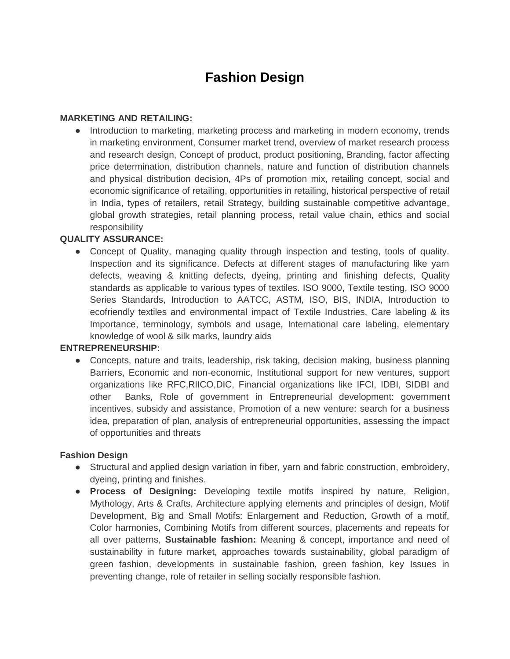# **Fashion Design**

#### **MARKETING AND RETAILING:**

• Introduction to marketing, marketing process and marketing in modern economy, trends in marketing environment, Consumer market trend, overview of market research process and research design, Concept of product, product positioning, Branding, factor affecting price determination, distribution channels, nature and function of distribution channels and physical distribution decision, 4Ps of promotion mix, retailing concept, social and economic significance of retailing, opportunities in retailing, historical perspective of retail in India, types of retailers, retail Strategy, building sustainable competitive advantage, global growth strategies, retail planning process, retail value chain, ethics and social responsibility

## **QUALITY ASSURANCE:**

• Concept of Quality, managing quality through inspection and testing, tools of quality. Inspection and its significance. Defects at different stages of manufacturing like yarn defects, weaving & knitting defects, dyeing, printing and finishing defects, Quality standards as applicable to various types of textiles. ISO 9000, Textile testing, ISO 9000 Series Standards, Introduction to AATCC, ASTM, ISO, BIS, INDIA, Introduction to ecofriendly textiles and environmental impact of Textile Industries, Care labeling & its Importance, terminology, symbols and usage, International care labeling, elementary knowledge of wool & silk marks, laundry aids

## **ENTREPRENEURSHIP:**

• Concepts, nature and traits, leadership, risk taking, decision making, business planning Barriers, Economic and non-economic, Institutional support for new ventures, support organizations like RFC,RIICO,DIC, Financial organizations like IFCI, IDBI, SIDBI and other Banks, Role of government in Entrepreneurial development: government incentives, subsidy and assistance, Promotion of a new venture: search for a business idea, preparation of plan, analysis of entrepreneurial opportunities, assessing the impact of opportunities and threats

## **Fashion Design**

- Structural and applied design variation in fiber, yarn and fabric construction, embroidery, dyeing, printing and finishes.
- **Process of Designing:** Developing textile motifs inspired by nature, Religion, Mythology, Arts & Crafts, Architecture applying elements and principles of design, Motif Development, Big and Small Motifs: Enlargement and Reduction, Growth of a motif, Color harmonies, Combining Motifs from different sources, placements and repeats for all over patterns, **Sustainable fashion:** Meaning & concept, importance and need of sustainability in future market, approaches towards sustainability, global paradigm of green fashion, developments in sustainable fashion, green fashion, key Issues in preventing change, role of retailer in selling socially responsible fashion.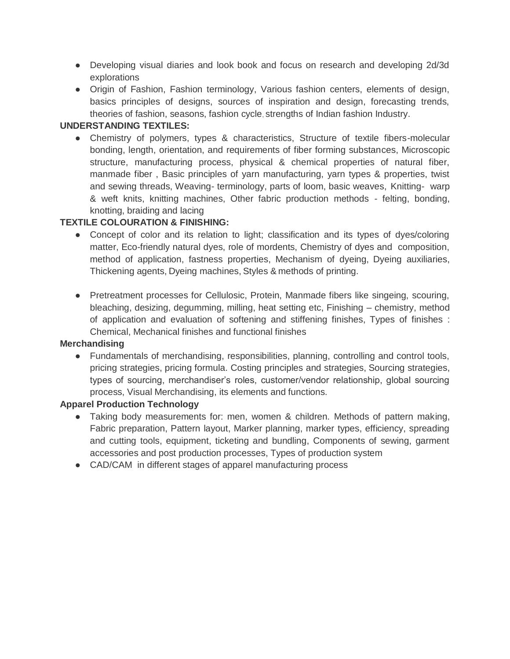- Developing visual diaries and look book and focus on research and developing 2d/3d explorations
- Origin of Fashion, Fashion terminology, Various fashion centers, elements of design, basics principles of designs, sources of inspiration and design, forecasting trends, theories of fashion, seasons, fashion cycle, strengths of Indian fashion Industry.

## **UNDERSTANDING TEXTILES:**

● Chemistry of polymers, types & characteristics, Structure of textile fibers-molecular bonding, length, orientation, and requirements of fiber forming substances, Microscopic structure, manufacturing process, physical & chemical properties of natural fiber, manmade fiber , Basic principles of yarn manufacturing, yarn types & properties, twist and sewing threads, Weaving- terminology, parts of loom, basic weaves, Knitting- warp & weft knits, knitting machines, Other fabric production methods - felting, bonding, knotting, braiding and lacing

# **TEXTILE COLOURATION & FINISHING:**

- Concept of color and its relation to light; classification and its types of dyes/coloring matter, Eco-friendly natural dyes, role of mordents, Chemistry of dyes and composition, method of application, fastness properties, Mechanism of dyeing, Dyeing auxiliaries, Thickening agents, Dyeing machines, Styles & methods of printing.
- Pretreatment processes for Cellulosic, Protein, Manmade fibers like singeing, scouring, bleaching, desizing, degumming, milling, heat setting etc, Finishing – chemistry, method of application and evaluation of softening and stiffening finishes, Types of finishes : Chemical, Mechanical finishes and functional finishes

## **Merchandising**

● Fundamentals of merchandising, responsibilities, planning, controlling and control tools, pricing strategies, pricing formula. Costing principles and strategies, Sourcing strategies, types of sourcing, merchandiser's roles, customer/vendor relationship, global sourcing process, Visual Merchandising, its elements and functions.

## **Apparel Production Technology**

- Taking body measurements for: men, women & children. Methods of pattern making, Fabric preparation, Pattern layout, Marker planning, marker types, efficiency, spreading and cutting tools, equipment, ticketing and bundling, Components of sewing, garment accessories and post production processes, Types of production system
- CAD/CAM in different stages of apparel manufacturing process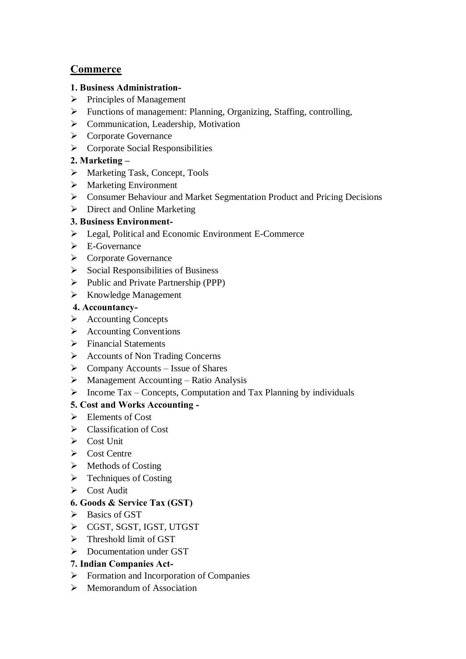# **Commerce**

# **1. Business Administration-**

- $\triangleright$  Principles of Management
- Functions of management: Planning, Organizing, Staffing, controlling,
- > Communication, Leadership, Motivation
- **►** Corporate Governance
- $\triangleright$  Corporate Social Responsibilities

# **2. Marketing –**

- Marketing Task, Concept, Tools
- > Marketing Environment
- Consumer Behaviour and Market Segmentation Product and Pricing Decisions
- $\triangleright$  Direct and Online Marketing

# **3. Business Environment-**

- Equal, Political and Economic Environment E-Commerce
- $\triangleright$  E-Governance
- **►** Corporate Governance
- $\triangleright$  Social Responsibilities of Business
- $\triangleright$  Public and Private Partnership (PPP)
- $\triangleright$  Knowledge Management

# **4. Accountancy-**

- Accounting Concepts
- $\triangleright$  Accounting Conventions
- > Financial Statements
- Accounts of Non Trading Concerns
- $\triangleright$  Company Accounts Issue of Shares
- $\triangleright$  Management Accounting Ratio Analysis
- $\triangleright$  Income Tax Concepts, Computation and Tax Planning by individuals

# **5. Cost and Works Accounting -**

- $\triangleright$  Elements of Cost
- Classification of Cost
- $\triangleright$  Cost Unit
- $\triangleright$  Cost Centre
- $\triangleright$  Methods of Costing
- $\triangleright$  Techniques of Costing
- $\triangleright$  Cost Audit

# **6. Goods & Service Tax (GST)**

- $\triangleright$  Basics of GST
- CGST, SGST, IGST, UTGST
- $\triangleright$  Threshold limit of GST
- $\triangleright$  Documentation under GST

# **7. Indian Companies Act-**

- $\triangleright$  Formation and Incorporation of Companies
- $\triangleright$  Memorandum of Association